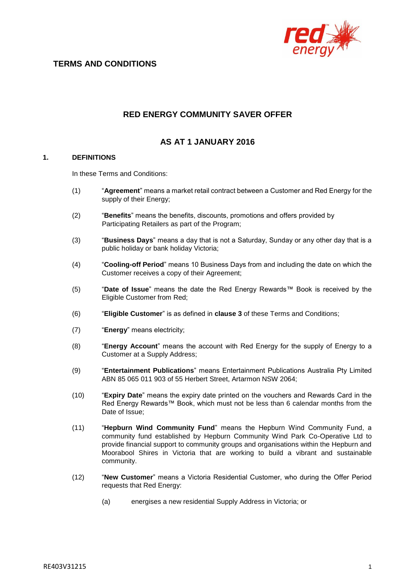

# **RED ENERGY COMMUNITY SAVER OFFER**

## **AS AT 1 JANUARY 2016**

### **1. DEFINITIONS**

In these Terms and Conditions:

- (1) "**Agreement**" means a market retail contract between a Customer and Red Energy for the supply of their Energy;
- (2) "**Benefits**" means the benefits, discounts, promotions and offers provided by Participating Retailers as part of the Program;
- (3) "**Business Days**" means a day that is not a Saturday, Sunday or any other day that is a public holiday or bank holiday Victoria;
- (4) "**Cooling-off Period**" means 10 Business Days from and including the date on which the Customer receives a copy of their Agreement;
- (5) "**Date of Issue**" means the date the Red Energy Rewards™ Book is received by the Eligible Customer from Red;
- (6) "**Eligible Customer**" is as defined in **clause 3** of these Terms and Conditions;
- (7) "**Energy**" means electricity;
- (8) "**Energy Account**" means the account with Red Energy for the supply of Energy to a Customer at a Supply Address;
- (9) "**Entertainment Publications**" means Entertainment Publications Australia Pty Limited ABN 85 065 011 903 of 55 Herbert Street, Artarmon NSW 2064;
- (10) "**Expiry Date**" means the expiry date printed on the vouchers and Rewards Card in the Red Energy Rewards™ Book, which must not be less than 6 calendar months from the Date of Issue;
- (11) "**Hepburn Wind Community Fund**" means the Hepburn Wind Community Fund, a community fund established by Hepburn Community Wind Park Co-Operative Ltd to provide financial support to community groups and organisations within the Hepburn and Moorabool Shires in Victoria that are working to build a vibrant and sustainable community.
- (12) "**New Customer**" means a Victoria Residential Customer, who during the Offer Period requests that Red Energy:
	- (a) energises a new residential Supply Address in Victoria; or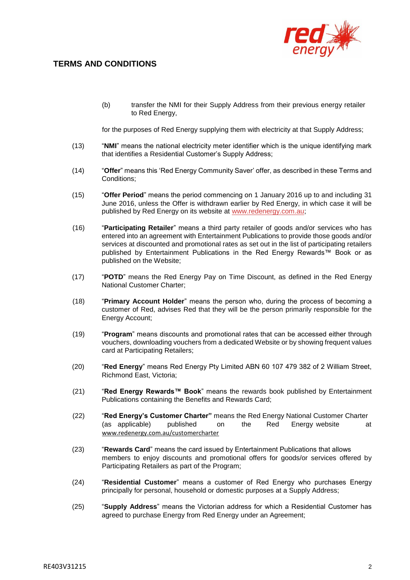

(b) transfer the NMI for their Supply Address from their previous energy retailer to Red Energy,

for the purposes of Red Energy supplying them with electricity at that Supply Address;

- (13) "**NMI**" means the national electricity meter identifier which is the unique identifying mark that identifies a Residential Customer's Supply Address;
- (14) "**Offer**" means this 'Red Energy Community Saver' offer, as described in these Terms and Conditions;
- (15) "**Offer Period**" means the period commencing on 1 January 2016 up to and including 31 June 2016, unless the Offer is withdrawn earlier by Red Energy, in which case it will be published by Red Energy on its website at [www.redenergy.com.au;](http://www.redenergy.com.au/)
- (16) "**Participating Retailer**" means a third party retailer of goods and/or services who has entered into an agreement with Entertainment Publications to provide those goods and/or services at discounted and promotional rates as set out in the list of participating retailers published by Entertainment Publications in the Red Energy Rewards™ Book or as published on the Website;
- (17) "**POTD**" means the Red Energy Pay on Time Discount, as defined in the Red Energy National Customer Charter;
- (18) "**Primary Account Holder**" means the person who, during the process of becoming a customer of Red, advises Red that they will be the person primarily responsible for the Energy Account;
- (19) "**Program**" means discounts and promotional rates that can be accessed either through vouchers, downloading vouchers from a dedicated Website or by showing frequent values card at Participating Retailers;
- (20) "**Red Energy**" means Red Energy Pty Limited ABN 60 107 479 382 of 2 William Street, Richmond East, Victoria;
- (21) "**Red Energy Rewards™ Book**" means the rewards book published by Entertainment Publications containing the Benefits and Rewards Card;
- (22) "**Red Energy's Customer Charter"** means the Red Energy National Customer Charter (as applicable) published on the Red Energy website at [www.redenergy.com.au/customercharter](http://www.redenergy.com.au/customercharter)
- (23) "**Rewards Card**" means the card issued by Entertainment Publications that allows members to enjoy discounts and promotional offers for goods/or services offered by Participating Retailers as part of the Program;
- (24) "**Residential Customer**" means a customer of Red Energy who purchases Energy principally for personal, household or domestic purposes at a Supply Address;
- (25) "**Supply Address**" means the Victorian address for which a Residential Customer has agreed to purchase Energy from Red Energy under an Agreement;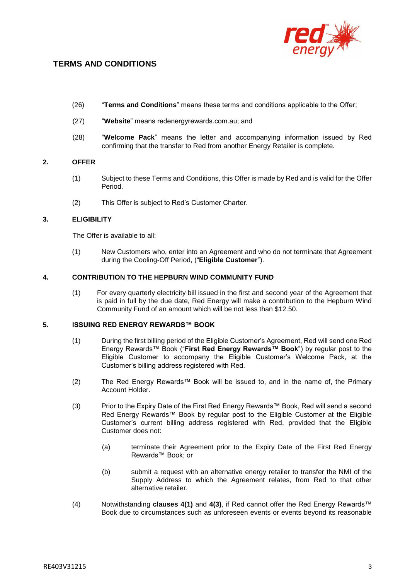

- (26) "**Terms and Conditions**" means these terms and conditions applicable to the Offer;
- (27) "**Website**" means redenergyrewards.com.au; and
- (28) "**Welcome Pack**" means the letter and accompanying information issued by Red confirming that the transfer to Red from another Energy Retailer is complete.

### **2. OFFER**

- (1) Subject to these Terms and Conditions, this Offer is made by Red and is valid for the Offer Period.
- (2) This Offer is subject to Red's Customer Charter.

#### **3. ELIGIBILITY**

The Offer is available to all:

(1) New Customers who, enter into an Agreement and who do not terminate that Agreement during the Cooling-Off Period, ("**Eligible Customer**").

#### **4. CONTRIBUTION TO THE HEPBURN WIND COMMUNITY FUND**

(1) For every quarterly electricity bill issued in the first and second year of the Agreement that is paid in full by the due date, Red Energy will make a contribution to the Hepburn Wind Community Fund of an amount which will be not less than \$12.50.

#### **5. ISSUING RED ENERGY REWARDS™ BOOK**

- (1) During the first billing period of the Eligible Customer's Agreement, Red will send one Red Energy Rewards™ Book ("**First Red Energy Rewards™ Book**") by regular post to the Eligible Customer to accompany the Eligible Customer's Welcome Pack, at the Customer's billing address registered with Red.
- (2) The Red Energy Rewards™ Book will be issued to, and in the name of, the Primary Account Holder.
- (3) Prior to the Expiry Date of the First Red Energy Rewards™ Book, Red will send a second Red Energy Rewards™ Book by regular post to the Eligible Customer at the Eligible Customer's current billing address registered with Red, provided that the Eligible Customer does not:
	- (a) terminate their Agreement prior to the Expiry Date of the First Red Energy Rewards™ Book; or
	- (b) submit a request with an alternative energy retailer to transfer the NMI of the Supply Address to which the Agreement relates, from Red to that other alternative retailer.
- (4) Notwithstanding **clauses 4(1)** and **4(3)**, if Red cannot offer the Red Energy Rewards™ Book due to circumstances such as unforeseen events or events beyond its reasonable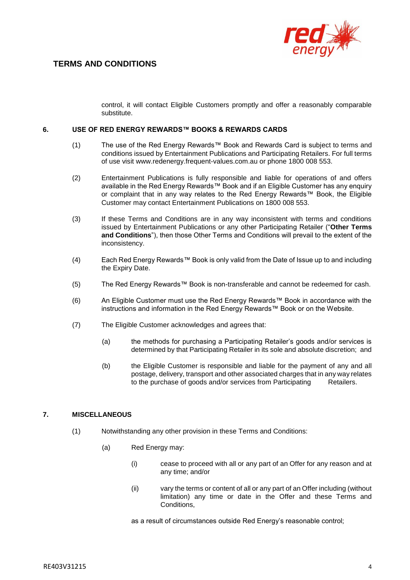

control, it will contact Eligible Customers promptly and offer a reasonably comparable substitute.

#### **6. USE OF RED ENERGY REWARDS™ BOOKS & REWARDS CARDS**

- (1) The use of the Red Energy Rewards™ Book and Rewards Card is subject to terms and conditions issued by Entertainment Publications and Participating Retailers. For full terms of use visit [www.redenergy.frequent-values.com.au](http://www.redenergy.frequent-values.com.au/) or phone 1800 008 553.
- (2) Entertainment Publications is fully responsible and liable for operations of and offers available in the Red Energy Rewards™ Book and if an Eligible Customer has any enquiry or complaint that in any way relates to the Red Energy Rewards™ Book, the Eligible Customer may contact Entertainment Publications on 1800 008 553.
- (3) If these Terms and Conditions are in any way inconsistent with terms and conditions issued by Entertainment Publications or any other Participating Retailer ("**Other Terms and Conditions**"), then those Other Terms and Conditions will prevail to the extent of the inconsistency.
- (4) Each Red Energy Rewards™ Book is only valid from the Date of Issue up to and including the Expiry Date.
- (5) The Red Energy Rewards™ Book is non-transferable and cannot be redeemed for cash.
- (6) An Eligible Customer must use the Red Energy Rewards™ Book in accordance with the instructions and information in the Red Energy Rewards™ Book or on the Website.
- (7) The Eligible Customer acknowledges and agrees that:
	- (a) the methods for purchasing a Participating Retailer's goods and/or services is determined by that Participating Retailer in its sole and absolute discretion; and
	- (b) the Eligible Customer is responsible and liable for the payment of any and all postage, delivery, transport and other associated charges that in any way relates to the purchase of goods and/or services from Participating Retailers.

### **7. MISCELLANEOUS**

- (1) Notwithstanding any other provision in these Terms and Conditions:
	- (a) Red Energy may:
		- (i) cease to proceed with all or any part of an Offer for any reason and at any time; and/or
		- (ii) vary the terms or content of all or any part of an Offer including (without limitation) any time or date in the Offer and these Terms and Conditions,

as a result of circumstances outside Red Energy's reasonable control;